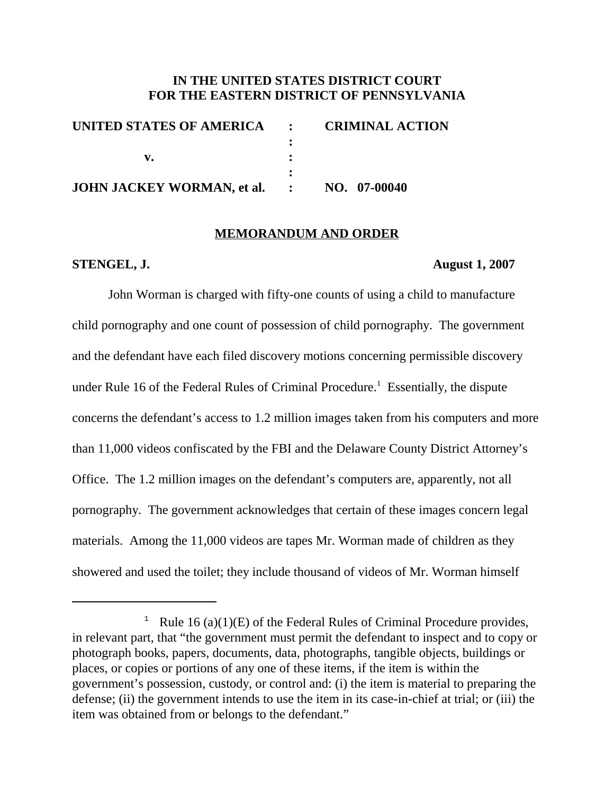# **IN THE UNITED STATES DISTRICT COURT FOR THE EASTERN DISTRICT OF PENNSYLVANIA**

| UNITED STATES OF AMERICA : CRIMINAL ACTION |  |
|--------------------------------------------|--|
|                                            |  |
|                                            |  |
|                                            |  |
| JOHN JACKEY WORMAN, et al. : NO. 07-00040  |  |

## **MEMORANDUM AND ORDER**

## **STENGEL, J. August 1, 2007**

John Worman is charged with fifty-one counts of using a child to manufacture child pornography and one count of possession of child pornography. The government and the defendant have each filed discovery motions concerning permissible discovery under Rule 16 of the Federal Rules of Criminal Procedure.<sup>1</sup> Essentially, the dispute concerns the defendant's access to 1.2 million images taken from his computers and more than 11,000 videos confiscated by the FBI and the Delaware County District Attorney's Office. The 1.2 million images on the defendant's computers are, apparently, not all pornography. The government acknowledges that certain of these images concern legal materials. Among the 11,000 videos are tapes Mr. Worman made of children as they showered and used the toilet; they include thousand of videos of Mr. Worman himself

<sup>&</sup>lt;sup>1</sup> Rule 16 (a)(1)(E) of the Federal Rules of Criminal Procedure provides, in relevant part, that "the government must permit the defendant to inspect and to copy or photograph books, papers, documents, data, photographs, tangible objects, buildings or places, or copies or portions of any one of these items, if the item is within the government's possession, custody, or control and: (i) the item is material to preparing the defense; (ii) the government intends to use the item in its case-in-chief at trial; or (iii) the item was obtained from or belongs to the defendant."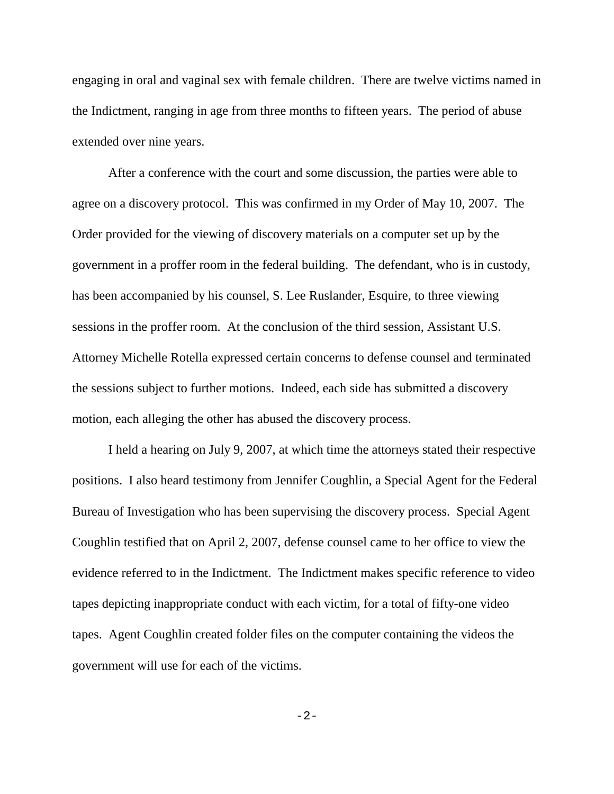engaging in oral and vaginal sex with female children. There are twelve victims named in the Indictment, ranging in age from three months to fifteen years. The period of abuse extended over nine years.

After a conference with the court and some discussion, the parties were able to agree on a discovery protocol. This was confirmed in my Order of May 10, 2007. The Order provided for the viewing of discovery materials on a computer set up by the government in a proffer room in the federal building. The defendant, who is in custody, has been accompanied by his counsel, S. Lee Ruslander, Esquire, to three viewing sessions in the proffer room. At the conclusion of the third session, Assistant U.S. Attorney Michelle Rotella expressed certain concerns to defense counsel and terminated the sessions subject to further motions. Indeed, each side has submitted a discovery motion, each alleging the other has abused the discovery process.

I held a hearing on July 9, 2007, at which time the attorneys stated their respective positions. I also heard testimony from Jennifer Coughlin, a Special Agent for the Federal Bureau of Investigation who has been supervising the discovery process. Special Agent Coughlin testified that on April 2, 2007, defense counsel came to her office to view the evidence referred to in the Indictment. The Indictment makes specific reference to video tapes depicting inappropriate conduct with each victim, for a total of fifty-one video tapes. Agent Coughlin created folder files on the computer containing the videos the government will use for each of the victims.

-2-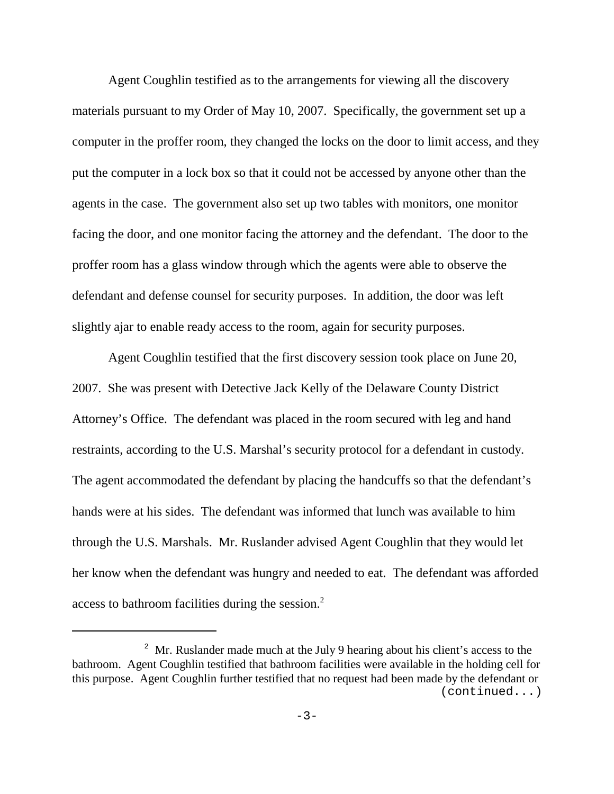Agent Coughlin testified as to the arrangements for viewing all the discovery materials pursuant to my Order of May 10, 2007. Specifically, the government set up a computer in the proffer room, they changed the locks on the door to limit access, and they put the computer in a lock box so that it could not be accessed by anyone other than the agents in the case. The government also set up two tables with monitors, one monitor facing the door, and one monitor facing the attorney and the defendant. The door to the proffer room has a glass window through which the agents were able to observe the defendant and defense counsel for security purposes. In addition, the door was left slightly ajar to enable ready access to the room, again for security purposes.

Agent Coughlin testified that the first discovery session took place on June 20, 2007. She was present with Detective Jack Kelly of the Delaware County District Attorney's Office. The defendant was placed in the room secured with leg and hand restraints, according to the U.S. Marshal's security protocol for a defendant in custody. The agent accommodated the defendant by placing the handcuffs so that the defendant's hands were at his sides. The defendant was informed that lunch was available to him through the U.S. Marshals. Mr. Ruslander advised Agent Coughlin that they would let her know when the defendant was hungry and needed to eat. The defendant was afforded access to bathroom facilities during the session.2

<sup>&</sup>lt;sup>2</sup> Mr. Ruslander made much at the July 9 hearing about his client's access to the bathroom. Agent Coughlin testified that bathroom facilities were available in the holding cell for this purpose. Agent Coughlin further testified that no request had been made by the defendant or (continued...)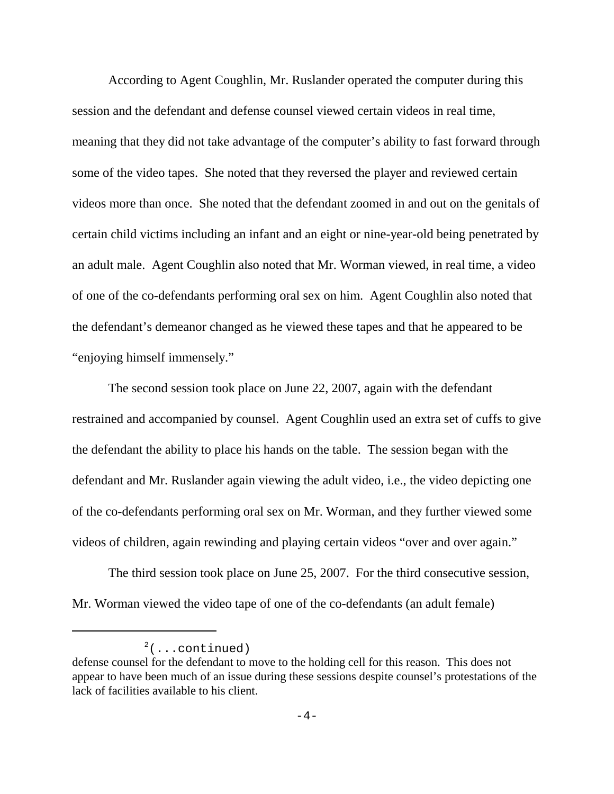According to Agent Coughlin, Mr. Ruslander operated the computer during this session and the defendant and defense counsel viewed certain videos in real time, meaning that they did not take advantage of the computer's ability to fast forward through some of the video tapes. She noted that they reversed the player and reviewed certain videos more than once. She noted that the defendant zoomed in and out on the genitals of certain child victims including an infant and an eight or nine-year-old being penetrated by an adult male. Agent Coughlin also noted that Mr. Worman viewed, in real time, a video of one of the co-defendants performing oral sex on him. Agent Coughlin also noted that the defendant's demeanor changed as he viewed these tapes and that he appeared to be "enjoying himself immensely."

The second session took place on June 22, 2007, again with the defendant restrained and accompanied by counsel. Agent Coughlin used an extra set of cuffs to give the defendant the ability to place his hands on the table. The session began with the defendant and Mr. Ruslander again viewing the adult video, i.e., the video depicting one of the co-defendants performing oral sex on Mr. Worman, and they further viewed some videos of children, again rewinding and playing certain videos "over and over again."

The third session took place on June 25, 2007. For the third consecutive session, Mr. Worman viewed the video tape of one of the co-defendants (an adult female)

 $2^2$ (...continued)

defense counsel for the defendant to move to the holding cell for this reason. This does not appear to have been much of an issue during these sessions despite counsel's protestations of the lack of facilities available to his client.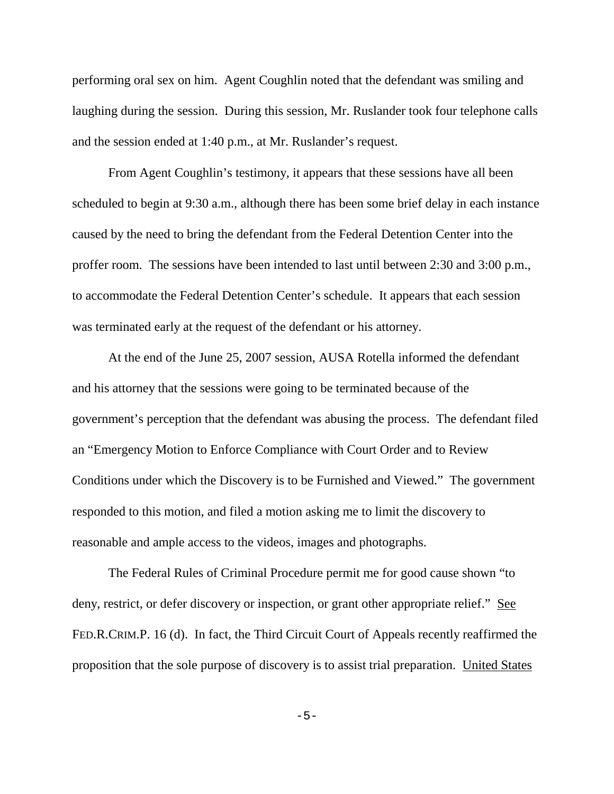performing oral sex on him. Agent Coughlin noted that the defendant was smiling and laughing during the session. During this session, Mr. Ruslander took four telephone calls and the session ended at 1:40 p.m., at Mr. Ruslander's request.

From Agent Coughlin's testimony, it appears that these sessions have all been scheduled to begin at 9:30 a.m., although there has been some brief delay in each instance caused by the need to bring the defendant from the Federal Detention Center into the proffer room. The sessions have been intended to last until between 2:30 and 3:00 p.m., to accommodate the Federal Detention Center's schedule. It appears that each session was terminated early at the request of the defendant or his attorney.

At the end of the June 25, 2007 session, AUSA Rotella informed the defendant and his attorney that the sessions were going to be terminated because of the government's perception that the defendant was abusing the process. The defendant filed an "Emergency Motion to Enforce Compliance with Court Order and to Review Conditions under which the Discovery is to be Furnished and Viewed." The government responded to this motion, and filed a motion asking me to limit the discovery to reasonable and ample access to the videos, images and photographs.

The Federal Rules of Criminal Procedure permit me for good cause shown "to deny, restrict, or defer discovery or inspection, or grant other appropriate relief." See FED.R.CRIM.P. 16 (d). In fact, the Third Circuit Court of Appeals recently reaffirmed the proposition that the sole purpose of discovery is to assist trial preparation. United States

-5-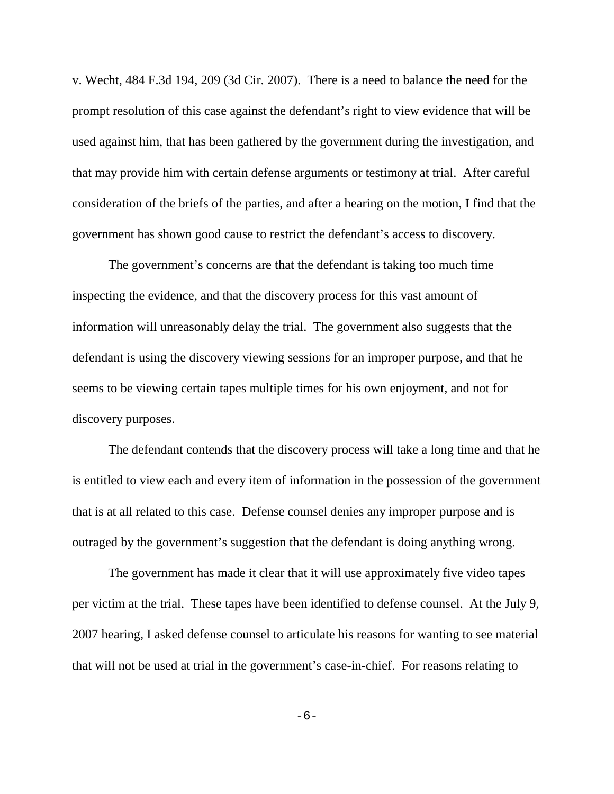v. Wecht, 484 F.3d 194, 209 (3d Cir. 2007). There is a need to balance the need for the prompt resolution of this case against the defendant's right to view evidence that will be used against him, that has been gathered by the government during the investigation, and that may provide him with certain defense arguments or testimony at trial. After careful consideration of the briefs of the parties, and after a hearing on the motion, I find that the government has shown good cause to restrict the defendant's access to discovery.

The government's concerns are that the defendant is taking too much time inspecting the evidence, and that the discovery process for this vast amount of information will unreasonably delay the trial. The government also suggests that the defendant is using the discovery viewing sessions for an improper purpose, and that he seems to be viewing certain tapes multiple times for his own enjoyment, and not for discovery purposes.

The defendant contends that the discovery process will take a long time and that he is entitled to view each and every item of information in the possession of the government that is at all related to this case. Defense counsel denies any improper purpose and is outraged by the government's suggestion that the defendant is doing anything wrong.

The government has made it clear that it will use approximately five video tapes per victim at the trial. These tapes have been identified to defense counsel. At the July 9, 2007 hearing, I asked defense counsel to articulate his reasons for wanting to see material that will not be used at trial in the government's case-in-chief. For reasons relating to

 $-6-$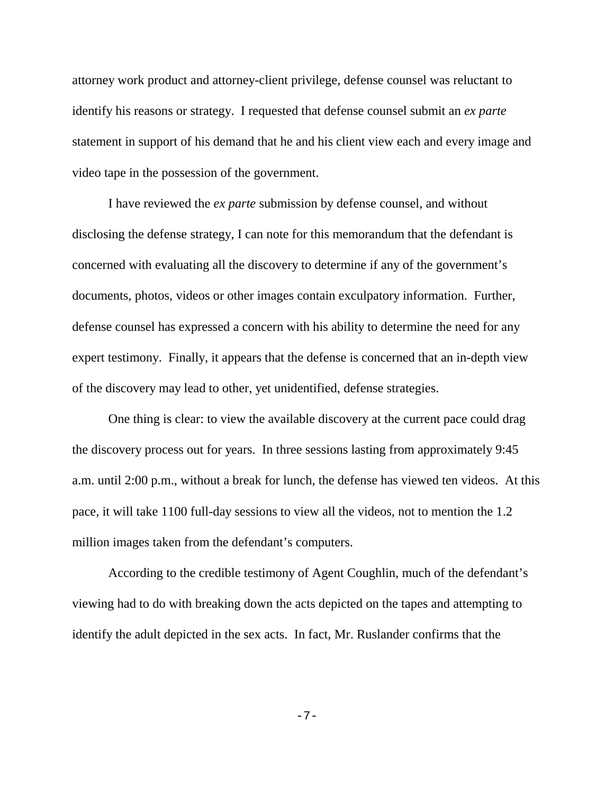attorney work product and attorney-client privilege, defense counsel was reluctant to identify his reasons or strategy. I requested that defense counsel submit an *ex parte* statement in support of his demand that he and his client view each and every image and video tape in the possession of the government.

I have reviewed the *ex parte* submission by defense counsel, and without disclosing the defense strategy, I can note for this memorandum that the defendant is concerned with evaluating all the discovery to determine if any of the government's documents, photos, videos or other images contain exculpatory information. Further, defense counsel has expressed a concern with his ability to determine the need for any expert testimony. Finally, it appears that the defense is concerned that an in-depth view of the discovery may lead to other, yet unidentified, defense strategies.

One thing is clear: to view the available discovery at the current pace could drag the discovery process out for years. In three sessions lasting from approximately 9:45 a.m. until 2:00 p.m., without a break for lunch, the defense has viewed ten videos. At this pace, it will take 1100 full-day sessions to view all the videos, not to mention the 1.2 million images taken from the defendant's computers.

According to the credible testimony of Agent Coughlin, much of the defendant's viewing had to do with breaking down the acts depicted on the tapes and attempting to identify the adult depicted in the sex acts. In fact, Mr. Ruslander confirms that the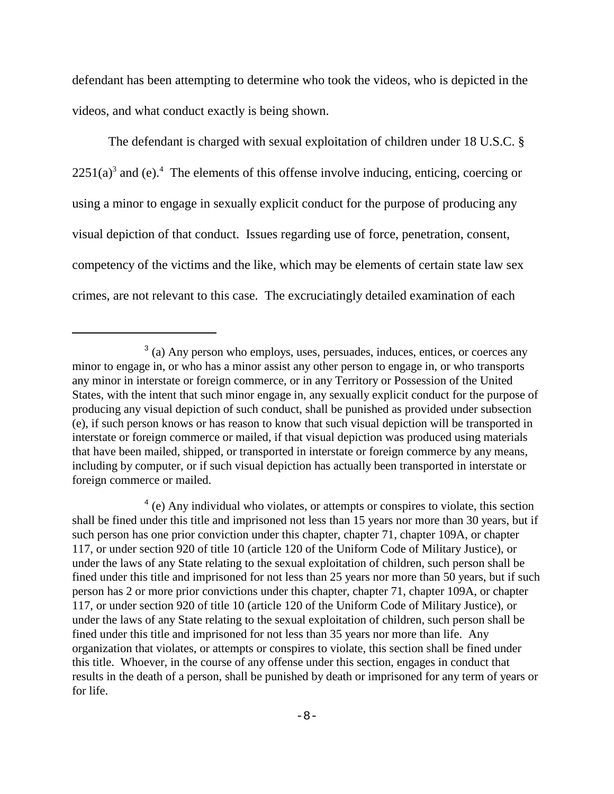defendant has been attempting to determine who took the videos, who is depicted in the videos, and what conduct exactly is being shown.

The defendant is charged with sexual exploitation of children under 18 U.S.C. §  $2251(a)<sup>3</sup>$  and (e).<sup>4</sup> The elements of this offense involve inducing, enticing, coercing or using a minor to engage in sexually explicit conduct for the purpose of producing any visual depiction of that conduct. Issues regarding use of force, penetration, consent, competency of the victims and the like, which may be elements of certain state law sex crimes, are not relevant to this case. The excruciatingly detailed examination of each

<sup>&</sup>lt;sup>3</sup> (a) Any person who employs, uses, persuades, induces, entices, or coerces any minor to engage in, or who has a minor assist any other person to engage in, or who transports any minor in interstate or foreign commerce, or in any Territory or Possession of the United States, with the intent that such minor engage in, any sexually explicit conduct for the purpose of producing any visual depiction of such conduct, shall be punished as provided under subsection (e), if such person knows or has reason to know that such visual depiction will be transported in interstate or foreign commerce or mailed, if that visual depiction was produced using materials that have been mailed, shipped, or transported in interstate or foreign commerce by any means, including by computer, or if such visual depiction has actually been transported in interstate or foreign commerce or mailed.

<sup>&</sup>lt;sup>4</sup> (e) Any individual who violates, or attempts or conspires to violate, this section shall be fined under this title and imprisoned not less than 15 years nor more than 30 years, but if such person has one prior conviction under this chapter, chapter 71, chapter 109A, or chapter 117, or under section 920 of title 10 (article 120 of the Uniform Code of Military Justice), or under the laws of any State relating to the sexual exploitation of children, such person shall be fined under this title and imprisoned for not less than 25 years nor more than 50 years, but if such person has 2 or more prior convictions under this chapter, chapter 71, chapter 109A, or chapter 117, or under section 920 of title 10 (article 120 of the Uniform Code of Military Justice), or under the laws of any State relating to the sexual exploitation of children, such person shall be fined under this title and imprisoned for not less than 35 years nor more than life. Any organization that violates, or attempts or conspires to violate, this section shall be fined under this title. Whoever, in the course of any offense under this section, engages in conduct that results in the death of a person, shall be punished by death or imprisoned for any term of years or for life.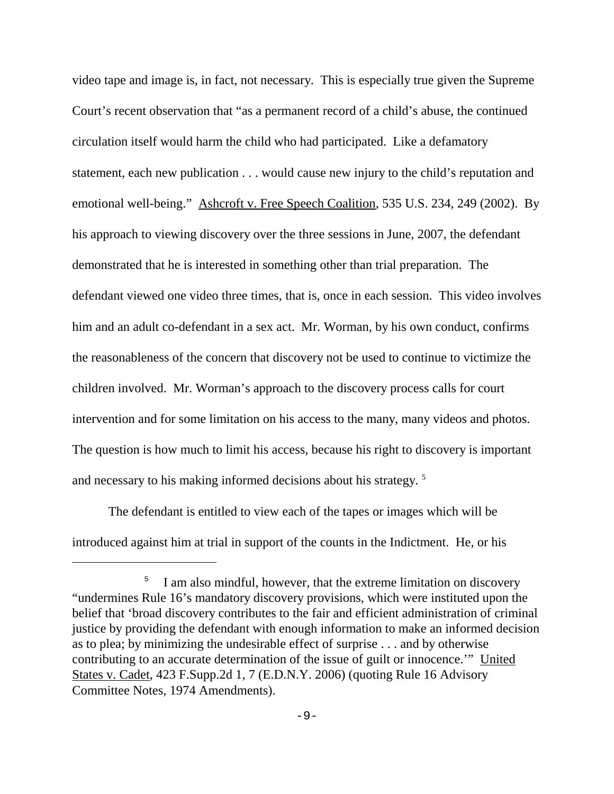video tape and image is, in fact, not necessary. This is especially true given the Supreme Court's recent observation that "as a permanent record of a child's abuse, the continued circulation itself would harm the child who had participated. Like a defamatory statement, each new publication . . . would cause new injury to the child's reputation and emotional well-being." Ashcroft v. Free Speech Coalition, 535 U.S. 234, 249 (2002). By his approach to viewing discovery over the three sessions in June, 2007, the defendant demonstrated that he is interested in something other than trial preparation. The defendant viewed one video three times, that is, once in each session. This video involves him and an adult co-defendant in a sex act. Mr. Worman, by his own conduct, confirms the reasonableness of the concern that discovery not be used to continue to victimize the children involved. Mr. Worman's approach to the discovery process calls for court intervention and for some limitation on his access to the many, many videos and photos. The question is how much to limit his access, because his right to discovery is important and necessary to his making informed decisions about his strategy.<sup>5</sup>

The defendant is entitled to view each of the tapes or images which will be introduced against him at trial in support of the counts in the Indictment. He, or his

<sup>&</sup>lt;sup>5</sup> I am also mindful, however, that the extreme limitation on discovery "undermines Rule 16's mandatory discovery provisions, which were instituted upon the belief that 'broad discovery contributes to the fair and efficient administration of criminal justice by providing the defendant with enough information to make an informed decision as to plea; by minimizing the undesirable effect of surprise . . . and by otherwise contributing to an accurate determination of the issue of guilt or innocence.'" United States v. Cadet, 423 F.Supp.2d 1, 7 (E.D.N.Y. 2006) (quoting Rule 16 Advisory Committee Notes, 1974 Amendments).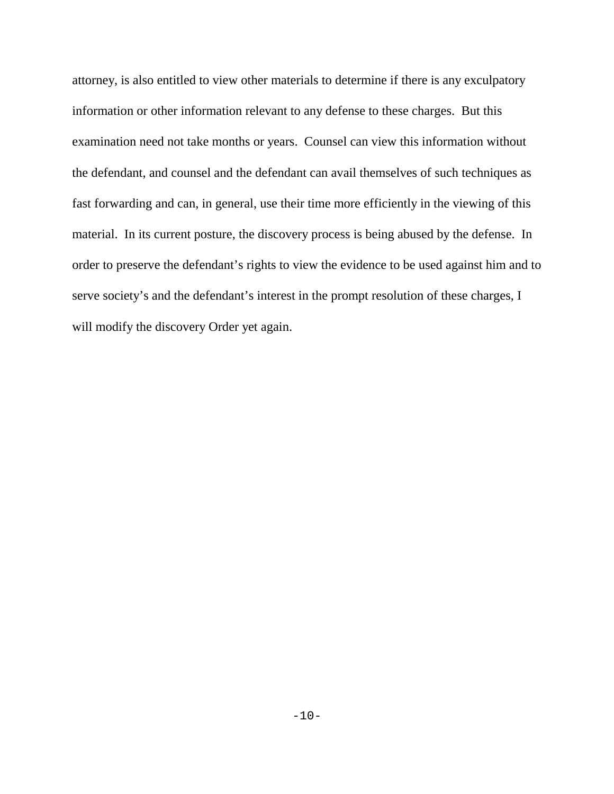attorney, is also entitled to view other materials to determine if there is any exculpatory information or other information relevant to any defense to these charges. But this examination need not take months or years. Counsel can view this information without the defendant, and counsel and the defendant can avail themselves of such techniques as fast forwarding and can, in general, use their time more efficiently in the viewing of this material. In its current posture, the discovery process is being abused by the defense. In order to preserve the defendant's rights to view the evidence to be used against him and to serve society's and the defendant's interest in the prompt resolution of these charges, I will modify the discovery Order yet again.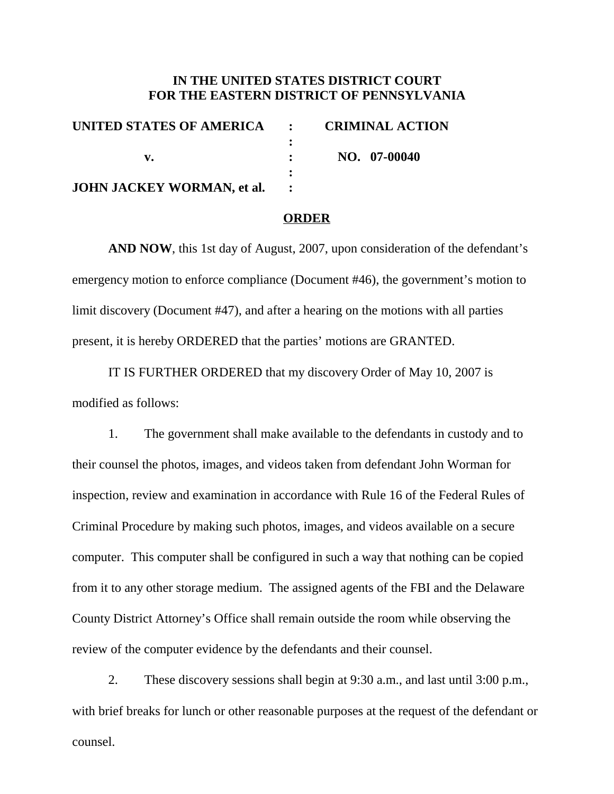# **IN THE UNITED STATES DISTRICT COURT FOR THE EASTERN DISTRICT OF PENNSYLVANIA**

| UNITED STATES OF AMERICA : CRIMINAL ACTION |
|--------------------------------------------|
|                                            |
| NO. 07-00040                               |
|                                            |
|                                            |
|                                            |

## **ORDER**

**AND NOW**, this 1st day of August, 2007, upon consideration of the defendant's emergency motion to enforce compliance (Document #46), the government's motion to limit discovery (Document #47), and after a hearing on the motions with all parties present, it is hereby ORDERED that the parties' motions are GRANTED.

IT IS FURTHER ORDERED that my discovery Order of May 10, 2007 is modified as follows:

1. The government shall make available to the defendants in custody and to their counsel the photos, images, and videos taken from defendant John Worman for inspection, review and examination in accordance with Rule 16 of the Federal Rules of Criminal Procedure by making such photos, images, and videos available on a secure computer. This computer shall be configured in such a way that nothing can be copied from it to any other storage medium. The assigned agents of the FBI and the Delaware County District Attorney's Office shall remain outside the room while observing the review of the computer evidence by the defendants and their counsel.

2. These discovery sessions shall begin at 9:30 a.m., and last until 3:00 p.m., with brief breaks for lunch or other reasonable purposes at the request of the defendant or counsel.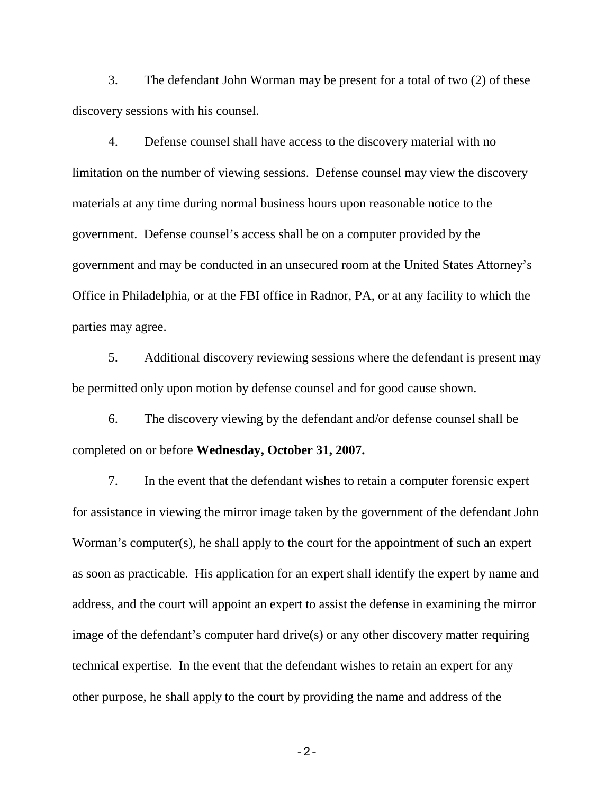3. The defendant John Worman may be present for a total of two (2) of these discovery sessions with his counsel.

4. Defense counsel shall have access to the discovery material with no limitation on the number of viewing sessions. Defense counsel may view the discovery materials at any time during normal business hours upon reasonable notice to the government. Defense counsel's access shall be on a computer provided by the government and may be conducted in an unsecured room at the United States Attorney's Office in Philadelphia, or at the FBI office in Radnor, PA, or at any facility to which the parties may agree.

5. Additional discovery reviewing sessions where the defendant is present may be permitted only upon motion by defense counsel and for good cause shown.

6. The discovery viewing by the defendant and/or defense counsel shall be completed on or before **Wednesday, October 31, 2007.**

7. In the event that the defendant wishes to retain a computer forensic expert for assistance in viewing the mirror image taken by the government of the defendant John Worman's computer(s), he shall apply to the court for the appointment of such an expert as soon as practicable. His application for an expert shall identify the expert by name and address, and the court will appoint an expert to assist the defense in examining the mirror image of the defendant's computer hard drive(s) or any other discovery matter requiring technical expertise. In the event that the defendant wishes to retain an expert for any other purpose, he shall apply to the court by providing the name and address of the

 $-2-$